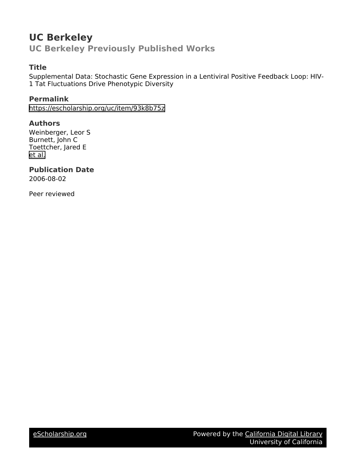# **UC Berkeley UC Berkeley Previously Published Works**

# **Title**

Supplemental Data: Stochastic Gene Expression in a Lentiviral Positive Feedback Loop: HIV-1 Tat Fluctuations Drive Phenotypic Diversity

**Permalink** <https://escholarship.org/uc/item/93k8b75z>

**Authors** Weinberger, Leor S Burnett, John C Toettcher, Jared E [et al.](https://escholarship.org/uc/item/93k8b75z#author)

**Publication Date** 2006-08-02

Peer reviewed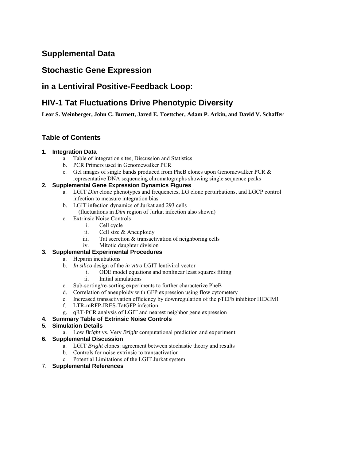# **Supplemental Data**

# **Stochastic Gene Expression**

# **in a Lentiviral Positive-Feedback Loop:**

# **HIV-1 Tat Fluctuations Drive Phenotypic Diversity**

**Leor S. Weinberger, John C. Burnett, Jared E. Toettcher, Adam P. Arkin, and David V. Schaffer** 

# **Table of Contents**

# **1. Integration Data**

- a. Table of integration sites, Discussion and Statistics
- b. PCR Primers used in Genomewalker PCR
- c. Gel images of single bands produced from PheB clones upon Genomewalker PCR & representative DNA sequencing chromatographs showing single sequence peaks

# **2. Supplemental Gene Expression Dynamics Figures**

- a. LGIT *Dim* clone phenotypes and frequencies, LG clone perturbations, and LGCP control infection to measure integration bias
- b. LGIT infection dynamics of Jurkat and 293 cells
	- (fluctuations in *Dim* region of Jurkat infection also shown)
- c. Extrinsic Noise Controls
	- i. Cell cycle
	- ii. Cell size & Aneuploidy
	- iii. Tat secretion & transactivation of neighboring cells
	- iv. Mitotic daughter division

# **3. Supplemental Experimental Procedures**

- a. Heparin incubations
- b. *In silico* design of the *in vitro* LGIT lentiviral vector
	- i. ODE model equations and nonlinear least squares fitting
	- ii. Initial simulations
- c. Sub-sorting/re-sorting experiments to further characterize PheB
- d. Correlation of aneuploidy with GFP expression using flow cytometery
- e. Increased transactivation efficiency by downregulation of the pTEFb inhibitor HEXIM1
- f. LTR-mRFP-IRES-TatGFP infection
- g. qRT-PCR analysis of LGIT and nearest neighbor gene expression
- **4. Summary Table of Extrinsic Noise Controls**

# **5. Simulation Details**

a. Low *Bright* vs. Very *Bright* computational prediction and experiment

# **6. Supplemental Discussion**

- a. LGIT *Bright* clones: agreement between stochastic theory and results
- b. Controls for noise extrinsic to transactivation
- c. Potential Limitations of the LGIT Jurkat system
- 7. **Supplemental References**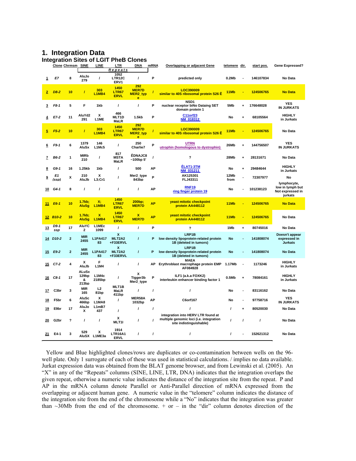## **1. Integration Data**

**Integration Sites of LGIT PheB Clones** 

|           |                    | Clone Chrmsm SINE       |                                                 | LINE                         | ם היות הופש האונט ווטואקטווו<br>LTR   | ווטוט<br>--<br><b>DNA</b>            | <b>mRNA</b> | <b>Overlapping or adjacent Gene</b>                                                                      | telomere dir. |                      | start pos. | <b>Gene Expressed?</b>                                         |
|-----------|--------------------|-------------------------|-------------------------------------------------|------------------------------|---------------------------------------|--------------------------------------|-------------|----------------------------------------------------------------------------------------------------------|---------------|----------------------|------------|----------------------------------------------------------------|
|           |                    |                         |                                                 |                              | <u>Repeats</u>                        |                                      |             |                                                                                                          |               |                      |            |                                                                |
| 1         | E7                 | 8                       | AluJo<br>279                                    | $\prime$                     | 1052<br>LTR12C<br>ERV1                | $\prime$                             | P           | predicted only                                                                                           | 0.2Mb         |                      | 146107834  | No Data                                                        |
| 2         | D8-2               | 10                      | $\overline{I}$                                  | 303<br><b>L1MB4</b>          | 1450<br>LTR67<br><b>ERVL</b>          | 292<br><b>MER7D</b><br>MER2_typ<br>e |             | LOC390009<br>similar to 40S ribosomal protein S26 E                                                      | 11Mb          |                      | 124506765  | <b>No Data</b>                                                 |
| 3         | F8-1               | 5                       | F                                               | 1kb                          | $\boldsymbol{I}$                      | $\prime$                             | P           | NSD1<br>nuclear receptor biNo Dataing SET<br>domain protein 1                                            | 5Mb           | 4                    | 176648028  | <b>YES</b><br><b>IN JURKATS</b>                                |
| 4         | E7-2               | 11                      | AluYd2<br>291                                   | x<br>L1ME                    | 466<br>MLT <sub>1</sub> D<br>MaLR     | 1.5 <sub>kb</sub>                    | P           | C11orf23<br>NM_018312                                                                                    | No            | $\ddot{\phantom{0}}$ | 68105564   | <b>HIGHLY</b><br>in Jurkats                                    |
| 5         | $F5-2$             | 10                      | $\overline{I}$                                  | 303<br>L1MB4                 | 1450<br>LTR67<br><b>ERVL</b>          | 292<br><b>MER7D</b><br>MER2_typ<br>e |             | LOC390009<br>similar to 40S ribosomal protein S26 Ê                                                      | 11Mb          |                      | 124506765  | No Data                                                        |
| 6         | F9-1               | 6                       | 1379<br>AluSx                                   | 146<br>L1Mc5                 | 1                                     | 250<br>Charlie7                      | P           | <b>UTRN</b><br>utrophin (homologous to dystrophin)                                                       | 26Mb          | $\ddot{}$            | 144756507  | <b>YES</b><br><b>IN JURKATS</b>                                |
| z         | B6-2               | 1                       | <b>MIRb</b><br>210                              | $\prime$                     | 817<br><b>MSTA</b><br><b>MaLR</b>     | ÊDNAJC8<br>~100bp~5                  | $\prime$    | ?                                                                                                        | 28Mb          | $\ddot{}$            | 28131671   | No Data                                                        |
| 8         | G9-1               | 16                      | 1.25kb                                          | 1kb                          | $\overline{I}$                        | 500                                  | АP          | <b>ÊLAT1-3TM</b><br>NM 031211                                                                            | No            | $\ddot{}$            | 29484644   | <b>HIGHLY</b><br>in Jurkats                                    |
| <u>9</u>  | E1<br>(ssp)        | X                       | 210<br>AluJb                                    | X<br>L3;Cr1                  | ı                                     | Mer2_type<br>843bp                   | P           | AK125301<br>FLJ43311                                                                                     | 12Mb<br>from  |                      | 72307977   | No                                                             |
| 10        | G4-1               | 8                       | $\prime$                                        | $\prime$                     | $\overline{I}$                        | $\prime$                             | AP          | <b>RNF19</b><br>ring finger protein 19                                                                   | No            |                      | 101238123  | lymphocyte,<br>low in lymph but<br>Not expressed in<br>jurkats |
| 11        | $E6-1$             | 10                      | 1.7kb;<br><b>AluSg</b>                          | Х.<br><b>L1MB4</b>           | 1450<br>LTR67<br><b>ERVL</b>          | 200bp;<br><b>MER7D</b>               | <b>AP</b>   | yeast mitotic checkpoint<br>protein AA448112                                                             | 11Mb          |                      | 124506765  | <b>No Data</b>                                                 |
| 12        | <b>B10-2</b>       | 10                      | 1.7kb;<br><b>AluSg</b>                          | $\mathbf{x}$<br><b>L1MB4</b> | 1450<br>LTR67<br><b>ERVL</b>          | x<br><b>MER7D</b>                    | <b>AP</b>   | yeast mitotic checkpoint<br>protein AA448112                                                             | 11Mb          |                      | 124506765  | No Data                                                        |
| 13        | D9-1<br>ssp        | 17                      | <b>AluYC</b><br>2                               | L1MEc<br>1099                | $\prime$                              | $\prime$                             | P           | ?                                                                                                        | 1Mb           | $\ddot{}$            | 80745016   | No Data                                                        |
| 14        | D <sub>10</sub> -2 | $\overline{\mathbf{2}}$ | <b>MIR</b><br>2455                              | <b>L1PA417</b><br>83         | X<br>MLT2A2<br>+F33ERVL               | $\prime$                             | P           | LRP1B<br>low density lipoprotein-related protein<br>1B (deleted in tumors)                               | No            |                      | 141808074  | Doesn't appear<br>expressed in<br><b>Jurkats</b>               |
| 15        | E9-2               | $\overline{\mathbf{2}}$ | <b>MIR</b><br>2455                              | <b>L1PA417</b><br>83         | x<br>MLT2A2<br>+F33ERVL               | $\prime$                             | P           | LRP1B<br>low density lipoprotein-related protein<br>1B (deleted in tumors)                               | No            |                      | 141808074  | No Data                                                        |
| <u>15</u> | $C7-2$             | $\overline{\mathbf{4}}$ | x<br>AluJb                                      | F<br><b>L1M4</b>             | ı                                     | $\prime$                             | AP          | <b>MAEA</b><br>Erythroblast macrophage protein EMP<br>AF084928                                           | 1.17Mb        | Ĭ.                   | 1173246    | <b>HIGHLY</b><br>in Jurkats                                    |
| 16        | $C8-1$             | 17                      | <b>ALuSx</b><br>129 <sub>bp</sub><br>&<br>213bp | L1M4c<br>2185bp              | I                                     | X<br>Tigger3b<br>Mer2_type           | P           | ILF1 (a.k.a FOXK2)<br>interleukin enhancer binding factor 1                                              | 0.5Mb         | $\ddot{\phantom{0}}$ | 78084161   | <b>HIGHLY</b><br>in Jurkats                                    |
| 17        | C <sub>3</sub> br  | 3                       | <b>MIR</b><br>165                               | L2<br>81 <sub>bp</sub>       | MLT1B<br>MaLR<br>411bp                | $\prime$                             | $\prime$    | $\prime$                                                                                                 | No            |                      | 83116162   | No Data                                                        |
| <u>18</u> | F5br               | 6                       | AluSc<br>466bp                                  | x<br>L1MA8                   | 1                                     | MER58A<br>1032bp                     | AP          | C6orf167                                                                                                 | No            | ÷.                   | 97758716   | <b>YES</b><br><b>IN JURKATS</b>                                |
| 19        | E9br               | 17                      | AluJo<br>x                                      | L1mB7<br>437                 | $\prime$                              | $\prime$                             | $\prime$    | $\prime$                                                                                                 |               | $\ddot{}$            | 80520030   | No Data                                                        |
| 20        | G <sub>2</sub> br  | ?                       | $\prime$                                        | I                            | x<br>MLT1I                            | $\prime$                             | $\prime$    | integration into HERV LTR found at<br>multiple genomic loci (i.e. integration<br>site indistinguishable) | $\prime$      | $\prime$             | $\prime$   | No Data                                                        |
| 21        | E4-1               | 3                       | 529                                             | X<br>AluSX L1ME3a            | 1914<br><b>LTR16A1</b><br><b>ERVL</b> | $\prime$                             | $\prime$    | $\prime$                                                                                                 | $\prime$      |                      | 152621312  | No Data                                                        |

Yellow and Blue highlighted clones/rows are duplicates or co-contamination between wells on the 96 well plate. Only 1 surrogate of each of these was used in statistical calculations. / implies no data available. Jurkat expression data was obtained from the BLAT genome browser, and from Lewinski et al. (2005). An "X" in any of the "Repeats" columns (SINE, LINE, LTR, DNA) indicates that the integration overlaps the given repeat, otherwise a numeric value indicates the distance of the integration site from the repeat. P and AP in the mRNA column denote Parallel or Anti-Parallel direction of mRNA expressed from the overlapping or adjacent human gene. A numeric value in the "telomere" column indicates the distance of the integration site from the end of the chromosome while a "No" indicates that the integration was greater than  $\sim$ 30Mb from the end of the chromosome. + or – in the "dir" column denotes direction of the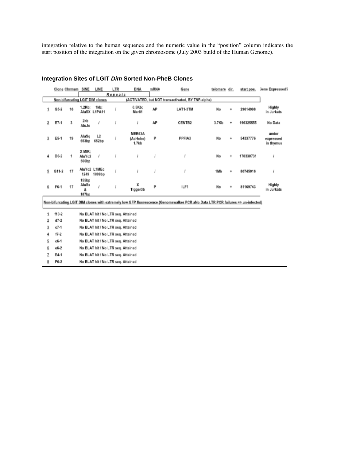integration relative to the human sequence and the numeric value in the "position" column indicates the start position of the integration on the given chromosome (July 2003 build of the Human Genome).

|   |         | Clone Chrmsm | SINE                         | LINE                            | LTR     | <b>DNA</b>                              | mRNA | Gene                                              | telomere | dir. | start pos. | <b>Jene Expressed?</b>          |
|---|---------|--------------|------------------------------|---------------------------------|---------|-----------------------------------------|------|---------------------------------------------------|----------|------|------------|---------------------------------|
|   |         |              |                              |                                 | Repeats |                                         |      |                                                   |          |      |            |                                 |
|   |         |              |                              | Non-bifurcating LGIT DIM clones |         |                                         |      | (ACTIVATED, but NOT transactivated, BY TNF-alpha) |          |      |            |                                 |
|   | $G5-2$  | 16           | 1.2Kb;                       | 1kb:<br>AluSX L1PA11            |         | 0.5Kb;<br>Mer81                         | AP   | LAT1-3TM                                          | No       | ۰    | 29614998   | Highly<br>in Jurkats            |
| 2 | E7-1    | 3            | 2kb<br>AluJo                 |                                 |         |                                         | AP   | CENTB2                                            | 3.7Kb    | ۰    | 196325555  | No Data                         |
| 3 | E5-1    | 19           | AluSq<br>653bp               | ıż<br>652bp                     |         | MER63A<br>(AcHobo)<br>1.7k <sub>b</sub> | P    | PPFIA3                                            | No       | ۰    | 54337776   | under<br>expressed<br>in thymus |
| 4 | D6-2    | 1            | X MIR:<br>AluYc2<br>600bp    | 1                               |         |                                         |      |                                                   | No       | ÷    | 170330731  |                                 |
| 5 | $G11-2$ | 17           | 1249                         | AluYc2 L1MEc<br>1099bp          |         |                                         |      |                                                   | 1Mb      | ٠    | 80745016   |                                 |
| 6 | F6-1    | 17           | 155bp<br>AluSx<br>å<br>187bp |                                 |         | x<br>Tigger3b                           | p    | ILF1                                              | No       | ۰    | 81169743   | Highly<br>in Jurkats            |

## **Integration Sites of LGIT** *Dim* **Sorted Non-PheB Clones**

Non-bifurcating LGIT DIM clones with extremely low GFP fluorescence (Genomewalker PCR aNo Data LTR PCR failures => un-infected)

| 1 | f10-2    | No BLAT hit / No LTR seq. Attained |
|---|----------|------------------------------------|
| 2 | $d7-2$   | No BLAT hit / No LTR seq. Attained |
| з | $c7 - 1$ | No BLAT hit / No LTR seq. Attained |
| 4 | $17 - 2$ | No BLAT hit / No LTR seq. Attained |
| 5 | $c6-1$   | No BLAT hit / No LTR seq. Attained |
| 6 | e6-2     | No BLAT hit / No LTR seq. Attained |
| 7 | E4-1     | No BLAT hit / No LTR seq. Attained |
| 8 | F6-2     | No BLAT hit / No LTR seq. Attained |
|   |          |                                    |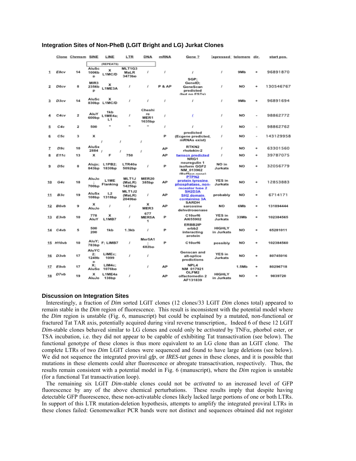| Integration Sites of Non-PheB (LGIT Bright and LG) Jurkat Clones |
|------------------------------------------------------------------|
|------------------------------------------------------------------|

|    |             | Clone Chrmsm SINE |                           | LINE                        | <b>LTR</b>                 | DNA                            | mRNA   | Gene ?                                                                                         | Expressed telomere dir.     |           |                          | start pos. |
|----|-------------|-------------------|---------------------------|-----------------------------|----------------------------|--------------------------------|--------|------------------------------------------------------------------------------------------------|-----------------------------|-----------|--------------------------|------------|
| 1  | E8cv        | 14                | AluSc<br>1006b<br>D       | (REPEATS)<br>x<br>L1MC/D    | MLT1G3<br>MaLR<br>3473bp   | ı                              | f      | ı                                                                                              | I                           | 9Mb       | ۰                        | 96891870   |
|    | D6cv        | 8                 | MIR3<br>2356b<br>₽        | x<br>L1ME3A                 | s                          | ı                              | P & AP | SGP:<br>GeneID;<br>GeneScan<br>predicted<br>(but no ESTs)                                      | J                           | <b>NO</b> | ۰                        | 130546767  |
| з  | D3cv        | 14                | AluSc                     | x<br>830bp L1MC/D           | s                          | ı                              | I      | ı                                                                                              | J                           | 9Mb       | ۰                        | 96891694   |
|    | C4cv        | 2                 | AluY<br>600 <sub>bp</sub> | 1kb<br>L1ME4a:<br>L1        | s                          | Cheshi<br>re<br>MER1<br>1635bp | s      |                                                                                                | f                           | NO        | ۰                        | 98862772   |
|    | C4c         | 2                 | 500                       |                             | $\ddot{\phantom{1}}$       | ٠                              | I      | ı                                                                                              | J                           | NO        | ÷                        | 98862762   |
|    | C5c         | з                 | x                         | J                           | J                          | s                              | P      | predicted<br>(Ecgene predicted,<br>mRNAs exist)                                                | J                           | NO        | $\overline{\phantom{a}}$ | 143129958  |
| 7  | D9c         | 10                | AluSx<br>2884             | x                           |                            | f                              | AP     | RTKN2<br>rhotekin-2                                                                            | f                           | <b>NO</b> | ۰                        | 63301560   |
|    | E11c        | 13                | x                         | F                           | 750                        |                                | AP     | twnscn predicted<br>NRG1                                                                       | f                           | NO        | ۰                        | 39787075   |
| ٩  | D5c         | 8                 | Alujo;<br>843bp           | L1PB2;<br>1830bp            | LTR40a<br>5092bp           | I                              | P      | neuregulin 1<br>isoform GGF2<br>NM 013962                                                      | NO in<br>Jurkats            | <b>NO</b> | ٠                        | 32056779   |
| 10 | G4c         | 18                | AluJo<br>700bp            | L1ME<br>Flanking            | MLT1J<br>(MaLR)<br>1425bp  | MER20<br>385bp                 | АP     | (RefSecontent<br>PTPN <sub>2</sub><br>protein tyrosine<br>phosphatase, non-<br>receptor type 2 | YES in<br>Jurkats           | NO        | ۰                        | 12853883   |
| 11 | B3c         | 19                | AluSx<br>108bp            | L2<br>1318bp                | MLT1J2<br>(MaLR)<br>2049bp | ı                              | AP     | SH2D3A<br>SH2 domain<br>containing 3A                                                          | probably                    | NO        | ۰                        | 6714171    |
| 12 | <b>B6vb</b> | э                 | x<br>AluJo                | J                           | s                          | x<br>MER3                      | AP     | SARDH<br>sarcosine<br>dehydrogenase                                                            | NO                          | 6Mb       | ۰                        | 131894444  |
| 13 | E3vb        | 10                | 778<br>AluY               | x<br><b>L1MB7</b>           | s                          | 677<br>MER5A<br>1              | P      | C10orf6<br>AI655902                                                                            | YES in<br>Jurkats           | 33Mb      | ۰                        | 102384565  |
| 14 | C4vb        | 5                 | 500<br>200                | 1kb                         | 1.3kb                      | ı                              | P      | ERBB2IP<br>erbb2<br>interacting<br>protein                                                     | <b>HIGHLY</b><br>in Jurkats | NO        | ۰                        | 65281011   |
|    | 15 H10vb    | 10                | AluY;<br>783bp            | F: LIMB7                    | s                          | Mer5A1<br>÷<br>682bp           | P      | C10orf6                                                                                        | possibly                    | NO        |                          | 102384560  |
| 16 | D3vb        | 17                | AluYC<br>2:<br>1249b<br>D | LIME <sub>c</sub> :<br>1099 | s                          | I                              |        | Genscan and<br>alt-splice<br>predictions                                                       | YES in<br>Jurkats           | NO        | ۰                        | 80745016   |
| 17 | E9vb        | 17                | x:<br>AluSa               | $LIM4c$ :<br>1076bp         |                            | ı                              | AP     | NPL4<br>NM 017921                                                                              |                             | 1.5Mb     | ۰                        | 80296718   |
| 18 | D7vb        | 19                | x<br>AluJo                | L1ME4a<br>138bp             | f                          |                                | AP     | OLFM2<br>olfactomedin 2<br>AF131839                                                            | HIGHLY<br>in Jurkats        | NO.       | ۰                        | 9839720    |

#### **Discussion on Integration Sites**

Interestingly, a fraction of *Dim* sorted LGIT clones (12 clones/33 LGIT *Dim* clones total) appeared to remain stable in the *Dim* region of fluorescence. This result is inconsistent with the potential model where the *Dim* region is unstable (Fig. 6, manuscript) but could be explained by a mutated, non-functional or fractured Tat TAR axis, potentially acquired during viral reverse transcription,. Indeed 6 of these 12 LGIT *Dim*-stable clones behaved similar to LG clones and could only be *activated* by TNFα, phorbol ester, or TSA incubation, i.e. they did not appear to be capable of exhibiting Tat transactivation (see below). The functional genotype of these clones is thus more equivalent to an LG clone than an LGIT clone. The complete LTRs of two *Dim* LGIT clones were sequenced and found to have large deletions (see below). We did not sequence the integrated proviral *gfp*, or *IRES*-*tat* genes in these clones, and it is possible that mutations in these elements could alter fluorescence or abrogate transactivation, respectively. Thus, the results remain consistent with a potential model in Fig. 6 (manuscript), where the *Dim* region is unstable (for a functional Tat transactivation loop).

The remaining six LGIT *Dim*-stable clones could not be *activated* to an increased level of GFP fluorescence by any of the above chemical perturbations. These results imply that despite having detectable GFP fluorescence, these non-activatable clones likely lacked large portions of one or both LTRs. In support of this LTR mutation-deletion hypothesis, attempts to amplify the integrated proviral LTRs in these clones failed: Genomewalker PCR bands were not distinct and sequences obtained did not register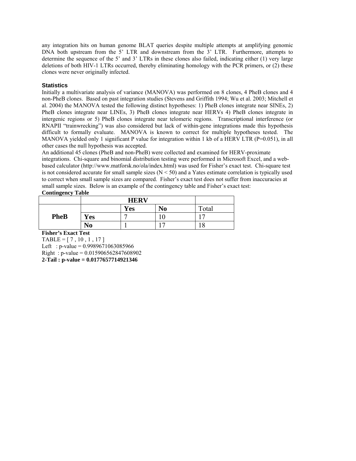any integration hits on human genome BLAT queries despite multiple attempts at amplifying genomic DNA both upstream from the 5' LTR and downstream from the 3' LTR. Furthermore, attempts to determine the sequence of the 5' and 3' LTRs in these clones also failed, indicating either (1) very large deletions of both HIV-1 LTRs occurred, thereby eliminating homology with the PCR primers, or (2) these clones were never originally infected.

### **Statistics**

Initially a multivariate analysis of variance (MANOVA) was performed on 8 clones, 4 PheB clones and 4 non-PheB clones. Based on past integration studies (Stevens and Griffith 1994; Wu et al. 2003; Mitchell et al. 2004) the MANOVA tested the following distinct hypotheses: 1) PheB clones integrate near SINEs, 2) PheB clones integrate near LINEs, 3) PheB clones integrate near HERVs 4) PheB clones integrate in intergenic regions or 5) PheB clones integrate near telomeric regions. Transcriptional interference (or RNAPII "trainwrecking") was also considered but lack of within-gene integrations made this hypothesis difficult to formally evaluate. MANOVA is known to correct for multiple hypotheses tested. The MANOVA yielded only 1 significant P value for integration within 1 kb of a HERV LTR ( $P=0.051$ ), in all other cases the null hypothesis was accepted.

An additional 45 clones (PheB and non-PheB) were collected and examined for HERV-proximate integrations. Chi-square and binomial distribution testing were performed in Microsoft Excel, and a webbased calculator (http://www.matforsk.no/ola/index.html) was used for Fisher's exact test. Chi-square test is not considered accurate for small sample sizes (N < 50) and a Yates estimate correlation is typically used to correct when small sample sizes are compared. Fisher's exact test does not suffer from inaccuracies at small sample sizes. Below is an example of the contingency table and Fisher's exact test:

### **Contingency Table**

|             |            | <b>Yes</b> | N <sub>0</sub> | Total |
|-------------|------------|------------|----------------|-------|
| <b>PheB</b> | <b>Yes</b> |            |                |       |
|             | No         |            |                | 18    |

**Fisher's Exact Test** 

 $TABLE = [7, 10, 1, 17]$ Left : p-value =  $0.9989671063085966$ Right : p-value = 0.015906562847608902 **2-Tail : p-value = 0.0177657714921346**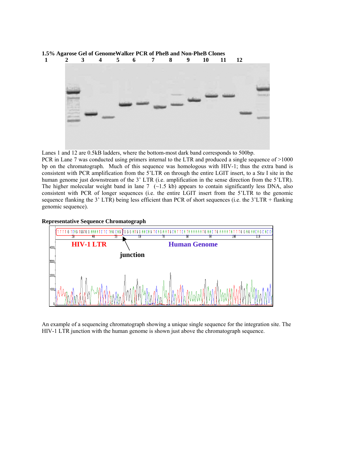

Lanes 1 and 12 are 0.5kB ladders, where the bottom-most dark band corresponds to 500bp.

PCR in Lane 7 was conducted using primers internal to the LTR and produced a single sequence of >1000 bp on the chromatograph. Much of this sequence was homologous with HIV-1; thus the extra band is consistent with PCR amplification from the 5'LTR on through the entire LGIT insert, to a *Stu* I site in the human genome just downstream of the 3' LTR (i.e. amplification in the sense direction from the 5'LTR). The higher molecular weight band in lane 7  $\left(\sim1.5 \text{ kb}\right)$  appears to contain significantly less DNA, also consistent with PCR of longer sequences (i.e. the entire LGIT insert from the 5'LTR to the genomic sequence flanking the 3' LTR) being less efficient than PCR of short sequences (i.e. the 3'LTR + flanking genomic sequence).





An example of a sequencing chromatograph showing a unique single sequence for the integration site. The HIV-1 LTR junction with the human genome is shown just above the chromatograph sequence.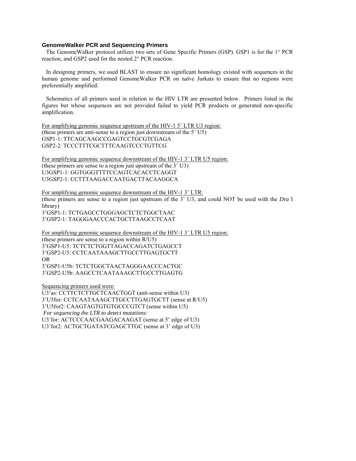#### **GenomeWalker PCR and Sequencing Primers**

The GenomeWalker protocol utilizes two sets of Gene Specific Primers (GSP). GSP1 is for the 1° PCR reaction, and GSP2 used for the nested 2° PCR reaction.

In designing primers, we used BLAST to ensure no significant homology existed with sequences in the human genome and performed GenomeWalker PCR on naïve Jurkats to ensure that no regions were preferentially amplified.

Schematics of all primers used in relation to the HIV LTR are presented below. Primers listed in the figures but whose sequences are not provided failed to yield PCR products or generated non-specific amplification.

For amplifying genomic sequence upstream of the HIV-1 5' LTR U3 region: (these primers are anti-sense to a region just downstream of the 5' U5) GSP1-1: TTCAGCAAGCCGAGTCCTGCGTCGAGA GSP2-2: TCCCTTTCGCTTTCAAGTCCCTGTTCG

For amplifying genomic sequence downstream of the HIV-1 3' LTR U5 region: (these primers are sense to a region just upstream of the 3' U3) U3GSP1-1: GGTGGGTTTTCCAGTCACACCTCAGGT U3GSP2-1: CCTTTAAGACCAATGACTTACAAGGCA

For amplifying genomic sequence downstream of the HIV-1 3' LTR: (these primers are sense to a region just upstream of the 3' U3, and could NOT be used with the *Dra* I library)

3'GSP1-1: TCTGAGCCTGGGAGCTCTCTGGCTAAC 3'GSP2-1: TAGGGAACCCACTGCTTAAGCCTCAAT

For amplifying genomic sequence downstream of the HIV-1 3' LTR U5 region: (these primers are sense to a region within R/U5) 3'GSP1-U5: TCTCTCTGGTTAGACCAGATCTGAGCCT 3'GSP2-U5: CCTCAATAAAGCTTGCCTTGAGTGCTT OR 3'GSP1-U5b: TCTCTGGCTAACTAGGGAACCCACTGC 3'GSP2-U5b: AAGCCTCAATAAAGCTTGCCTTGAGTG

Sequencing primers used were:

U3'as: CCTTCTCTTGCTCAACTGGT (anti-sense within U3) 3'U5for: CCTCAATAAAGCTTGCCTTGAGTGCTT (sense at R/U5) 3'U5for2: CAAGTAGTGTGTGCCCGTCT (sense within U5)  *For sequencing the LTR to detect mutations:*  U3'for: ACTCCCAACGAAGACAAGAT (sense at 5' edge of U3) U3'for2: ACTGCTGATATCGAGCTTGC (sense at 3' edge of U3)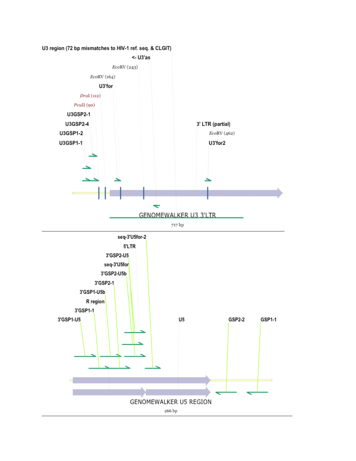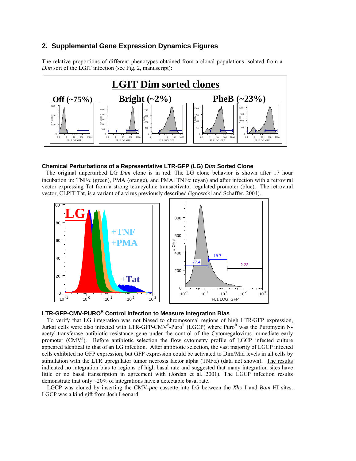## **2. Supplemental Gene Expression Dynamics Figures**

The relative proportions of different phenotypes obtained from a clonal populations isolated from a *Dim* sort of the LGIT infection (see Fig. 2, manuscript):



#### **Chemical Perturbations of a Representative LTR-GFP (LG)** *Dim* **Sorted Clone**

The original unperturbed LG *Dim* clone is in red. The LG clone behavior is shown after 17 hour incubation in: TNF $\alpha$  (green), PMA (orange), and PMA+TNF $\alpha$  (cyan) and after infection with a retroviral vector expressing Tat from a strong tetracycline transactivator regulated promoter (blue). The retroviral vector, CLPIT Tat, is a variant of a virus previously described (Ignowski and Schaffer, 2004).



## LTR-GFP-CMV-PURO<sup>R</sup> Control Infection to Measure Integration Bias

To verify that LG integration was not biased to chromosomal regions of high LTR/GFP expression, Jurkat cells were also infected with LTR-GFP-CMV<sup>P</sup>-Puro<sup>R</sup> (LGCP) where Puro<sup>R</sup> was the Puromycin Nacetyl-transferase antibiotic resistance gene under the control of the Cytomegalovirus immediate early promoter (CMV<sup>P</sup>). Before antibiotic selection the flow cytometry profile of LGCP infected culture appeared identical to that of an LG infection. After antibiotic selection, the vast majority of LGCP infected cells exhibited no GFP expression, but GFP expression could be activated to Dim/Mid levels in all cells by stimulation with the LTR upregulator tumor necrosis factor alpha (TNF $\alpha$ ) (data not shown). The results indicated no integration bias to regions of high basal rate and suggested that many integration sites have little or no basal transcription in agreement with (Jordan et al. 2001). The LGCP infection results demonstrate that only ~20% of integrations have a detectable basal rate.

LGCP was cloned by inserting the CMV-*pac* cassette into LG between the *Xho* I and *Bam* HI sites. LGCP was a kind gift from Josh Leonard.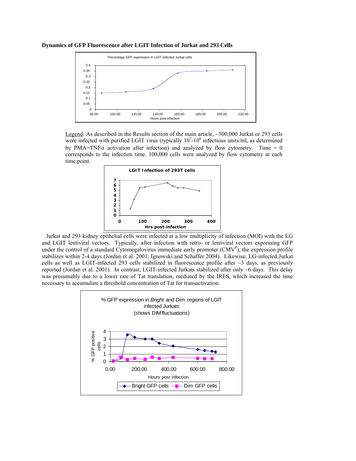**Dynamics of GFP Fluorescence after LGIT Infection of Jurkat and 293 Cells** 



Legend: As described in the Results section of the main article, ~500,000 Jurkat or 293 cells were infected with purified LGIT virus (typically  $10<sup>7</sup>$ -10<sup>8</sup> infectious units/ml, as determined by PMA+TNF $\alpha$  activation after infection) and analyzed by flow cytometry. Time = 0 corresponds to the infection time. 100,000 cells were analyzed by flow cytometry at each time point.



Jurkat and 293 kidney epithelial cells were infected at a low multiplicity of infection (MOI) with the LG and LGIT lentiviral vectors. Typically, after infection with retro- or lentiviral vectors expressing GFP under the control of a standard Cytomegalovirus immediate early promoter  $(CMV<sup>P</sup>)$ , the expression profile stabilizes within 2-4 days (Jordan et al. 2001; Ignowski and Schaffer 2004). Likewise, LG-infected Jurkat cells as well as LGIT-infected 293 cells stabilized in fluorescence profile after  $\sim$ 3 days, as previously reported (Jordan et al. 2001). In contrast, LGIT-infected Jurkats stabilized after only ~6 days. This delay was presumably due to a lower rate of Tat translation, mediated by the IRES, which increased the time necessary to accumulate a threshold concentration of Tat for transactivation.

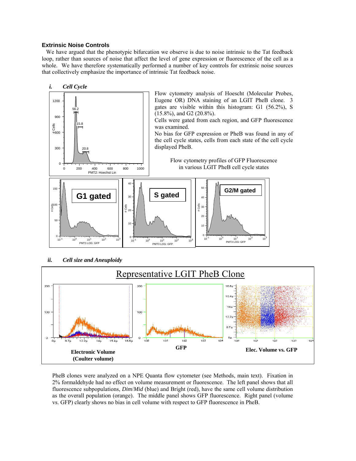### **Extrinsic Noise Controls**

We have argued that the phenotypic bifurcation we observe is due to noise intrinsic to the Tat feedback loop, rather than sources of noise that affect the level of gene expression or fluorescence of the cell as a whole. We have therefore systematically performed a number of key controls for extrinsic noise sources that collectively emphasize the importance of intrinsic Tat feedback noise.



*ii. Cell size and Aneuploidy* 



PheB clones were analyzed on a NPE Quanta flow cytometer (see Methods, main text). Fixation in 2% formaldehyde had no effect on volume measurement or fluorescence. The left panel shows that all fluorescence subpopulations, *Dim*/*Mid* (blue) and Bright (red), have the same cell volume distribution as the overall population (orange). The middle panel shows GFP fluorescence. Right panel (volume vs. GFP) clearly shows no bias in cell volume with respect to GFP fluorescence in PheB.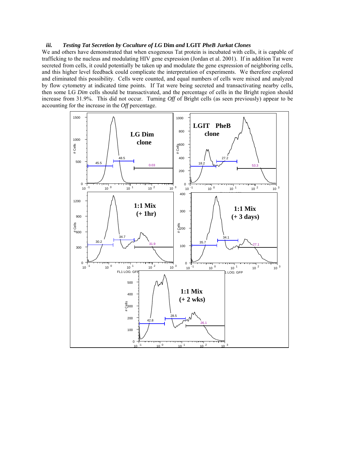#### *iii. Testing Tat Secretion by Coculture of LG* **Dim** *and* **LGIT** *PheB Jurkat Clones*

We and others have demonstrated that when exogenous Tat protein is incubated with cells, it is capable of trafficking to the nucleus and modulating HIV gene expression (Jordan et al. 2001). If in addition Tat were secreted from cells, it could potentially be taken up and modulate the gene expression of neighboring cells, and this higher level feedback could complicate the interpretation of experiments. We therefore explored and eliminated this possibility. Cells were counted, and equal numbers of cells were mixed and analyzed by flow cytometry at indicated time points. If Tat were being secreted and transactivating nearby cells, then some LG *Dim* cells should be transactivated, and the percentage of cells in the Bright region should increase from 31.9%. This did not occur. Turning *Off* of Bright cells (as seen previously) appear to be accounting for the increase in the *Off* percentage.

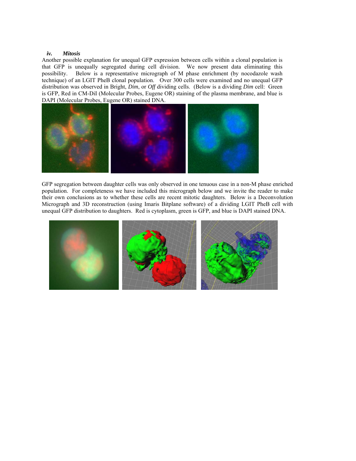#### *iv. Mitosis*

Another possible explanation for unequal GFP expression between cells within a clonal population is that GFP is unequally segregated during cell division. We now present data eliminating this possibility. Below is a representative micrograph of M phase enrichment (by nocodazole wash technique) of an LGIT PheB clonal population. Over 300 cells were examined and no unequal GFP distribution was observed in Bright, *Dim*, or *Off* dividing cells. (Below is a dividing *Dim* cell: Green is GFP, Red in CM-DiI (Molecular Probes, Eugene OR) staining of the plasma membrane, and blue is DAPI (Molecular Probes, Eugene OR) stained DNA.



GFP segregation between daughter cells was only observed in one tenuous case in a non-M phase enriched population. For completeness we have included this micrograph below and we invite the reader to make their own conclusions as to whether these cells are recent mitotic daughters. Below is a Deconvolution Micrograph and 3D reconstruction (using Imaris Bitplane software) of a dividing LGIT PheB cell with unequal GFP distribution to daughters. Red is cytoplasm, green is GFP, and blue is DAPI stained DNA.

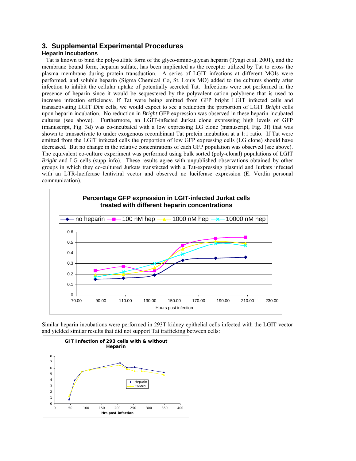# **3. Supplemental Experimental Procedures**

### **Heparin Incubations**

Tat is known to bind the poly-sulfate form of the glyco-amino-glycan heparin (Tyagi et al. 2001), and the membrane bound form, heparan sulfate, has been implicated as the receptor utilized by Tat to cross the plasma membrane during protein transduction. A series of LGIT infections at different MOIs were performed, and soluble heparin (Sigma Chemical Co, St. Louis MO) added to the cultures shortly after infection to inhibit the cellular uptake of potentially secreted Tat. Infections were not performed in the presence of heparin since it would be sequestered by the polyvalent cation polybrene that is used to increase infection efficiency. If Tat were being emitted from GFP bright LGIT infected cells and transactivating LGIT *Dim* cells, we would expect to see a reduction the proportion of LGIT *Bright* cells upon heparin incubation. No reduction in *Bright* GFP expression was observed in these heparin-incubated cultures (see above). Furthermore, an LGIT-infected Jurkat clone expressing high levels of GFP (manuscript, Fig. 3d) was co-incubated with a low expressing LG clone (manuscript, Fig. 3f) that was shown to transactivate to under exogenous recombinant Tat protein incubation at a 1:1 ratio. If Tat were emitted from the LGIT infected cells the proportion of low GFP expressing cells (LG clone) should have decreased. But no change in the relative concentrations of each GFP population was observed (see above). The equivalent co-culture experiment was performed using bulk sorted (poly-clonal) populations of LGIT *Bright* and LG cells (supp info). These results agree with unpublished observations obtained by other groups in which they co-cultured Jurkats transfected with a Tat-expressing plasmid and Jurkats infected with an LTR-luciferase lentiviral vector and observed no luciferase expression (E. Verdin personal communication).



Similar heparin incubations were performed in 293T kidney epithelial cells infected with the LGIT vector and yielded similar results that did not support Tat trafficking between cells:

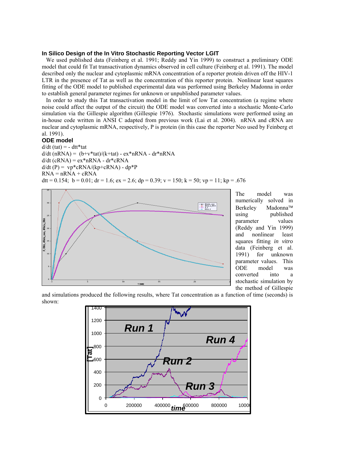#### **In Silico Design of the In Vitro Stochastic Reporting Vector LGIT**

We used published data (Feinberg et al. 1991; Reddy and Yin 1999) to construct a preliminary ODE model that could fit Tat transactivation dynamics observed in cell culture (Feinberg et al. 1991). The model described only the nuclear and cytoplasmic mRNA concentration of a reporter protein driven off the HIV-1 LTR in the presence of Tat as well as the concentration of this reporter protein. Nonlinear least squares fitting of the ODE model to published experimental data was performed using Berkeley Madonna in order to establish general parameter regimes for unknown or unpublished parameter values.

In order to study this Tat transactivation model in the limit of low Tat concentration (a regime where noise could affect the output of the circuit) the ODE model was converted into a stochastic Monte-Carlo simulation via the Gillespie algorithm (Gillespie 1976). Stochastic simulations were performed using an in-house code written in ANSI C adapted from previous work (Lai et al. 2004). nRNA and cRNA are nuclear and cytoplasmic mRNA, respectively, P is protein (in this case the reporter Neo used by Feinberg et al. 1991).

#### **ODE model**

 $d/dt$  (tat) = - dtt\*tat  $d/dt$  (nRNA) =  $(b+v*tat)/(k+tat)$  -  $ex*nRNA - dr*nRNA$  $d/dt$  (cRNA) =  $ex*nRNA - dr*cRNA$  $d/dt$  (P) = vp\*cRNA/(kp+cRNA) - dp\*P  $RNA = nRNA + cRNA$ dtt = 0.154; b = 0.01; dr = 1.6; ex = 2.6; dp = 0.39; v = 150; k = 50; vp = 11; kp = .676



The model was numerically solved in Berkeley Madonna™ using published parameter values (Reddy and Yin 1999) and nonlinear least squares fitting *in vitro* data (Feinberg et al. 1991) for unknown parameter values. This ODE model was converted into a stochastic simulation by the method of Gillespie

and simulations produced the following results, where Tat concentration as a function of time (seconds) is shown:

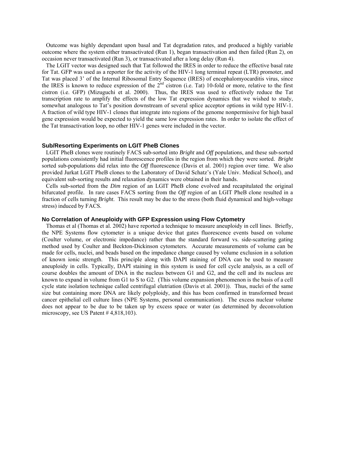Outcome was highly dependant upon basal and Tat degradation rates, and produced a highly variable outcome where the system either transactivated (Run 1), began transactivation and then failed (Run 2), on occasion never transactivated (Run 3), or transactivated after a long delay (Run 4).

The LGIT vector was designed such that Tat followed the IRES in order to reduce the effective basal rate for Tat. GFP was used as a reporter for the activity of the HIV-1 long terminal repeat (LTR) promoter, and Tat was placed 3' of the Internal Ribosomal Entry Sequence (IRES) of encephalomyocarditis virus, since the IRES is known to reduce expression of the  $2<sup>nd</sup>$  cistron (i.e. Tat) 10-fold or more, relative to the first cistron (i.e. GFP) (Mizuguchi et al. 2000). Thus, the IRES was used to effectively reduce the Tat transcription rate to amplify the effects of the low Tat expression dynamics that we wished to study, somewhat analogous to Tat's position downstream of several splice acceptor options in wild type HIV-1. A fraction of wild type HIV-1 clones that integrate into regions of the genome nonpermissive for high basal gene expression would be expected to yield the same low expression rates. In order to isolate the effect of the Tat transactivation loop, no other HIV-1 genes were included in the vector.

#### **Sub/Resorting Experiments on LGIT PheB Clones**

LGIT PheB clones were routinely FACS sub-sorted into *Bright* and *Off* populations, and these sub-sorted populations consistently had initial fluorescence profiles in the region from which they were sorted. *Bright* sorted sub-populations did relax into the *Off* fluorescence (Davis et al. 2001) region over time. We also provided Jurkat LGIT PheB clones to the Laboratory of David Schatz's (Yale Univ. Medical School), and equivalent sub-sorting results and relaxation dynamics were obtained in their hands.

Cells sub-sorted from the *Dim* region of an LGIT PheB clone evolved and recapitulated the original bifurcated profile. In rare cases FACS sorting from the *Off* region of an LGIT PheB clone resulted in a fraction of cells turning *Bright*. This result may be due to the stress (both fluid dynamical and high-voltage stress) induced by FACS.

#### **No Correlation of Aneuploidy with GFP Expression using Flow Cytometry**

Thomas et al (Thomas et al. 2002) have reported a technique to measure aneuploidy in cell lines. Briefly, the NPE Systems flow cytometer is a unique device that gates fluorescence events based on volume (Coulter volume, or electronic impedance) rather than the standard forward vs. side-scattering gating method used by Coulter and Beckton-Dickinson cytometers. Accurate measurements of volume can be made for cells, nuclei, and beads based on the impedance change caused by volume exclusion in a solution of known ionic strength. This principle along with DAPI staining of DNA can be used to measure aneuploidy in cells. Typically, DAPI staining in this system is used for cell cycle analysis, as a cell of course doubles the amount of DNA in the nucleus between G1 and G2, and the cell and its nucleus are known to expand in volume from G1 to S to G2. (This volume expansion phenomenon is the basis of a cell cycle state isolation technique called centrifugal elutriation (Davis et al. 2001)). Thus, nuclei of the same size but containing more DNA are likely polyploidy, and this has been confirmed in transformed breast cancer epithelial cell culture lines (NPE Systems, personal communication). The excess nuclear volume does not appear to be due to be taken up by excess space or water (as determined by deconvolution microscopy, see US Patent # 4,818,103).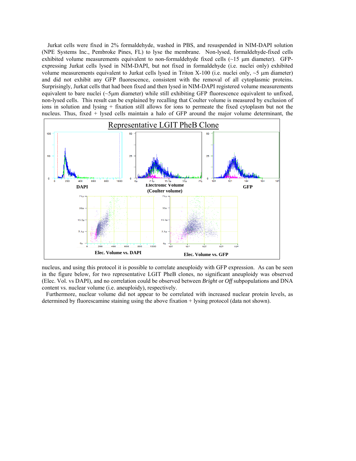Jurkat cells were fixed in 2% formaldehyde, washed in PBS, and resuspended in NIM-DAPI solution (NPE Systems Inc., Pembroke Pines, FL) to lyse the membrane. Non-lysed, formaldehyde-fixed cells exhibited volume measurements equivalent to non-formaldehyde fixed cells  $(\sim 15 \mu m)$  diameter). GFPexpressing Jurkat cells lysed in NIM-DAPI, but not fixed in formaldehyde (i.e. nuclei only) exhibited volume measurements equivalent to Jurkat cells lysed in Triton X-100 (i.e. nuclei only,  $\sim$  5  $\mu$ m diameter) and did not exhibit any GFP fluorescence, consistent with the removal of all cytoplasmic proteins. Surprisingly, Jurkat cells that had been fixed and then lysed in NIM-DAPI registered volume measurements equivalent to bare nuclei (~5µm diameter) while still exhibiting GFP fluorescence equivalent to unfixed, non-lysed cells. This result can be explained by recalling that Coulter volume is measured by exclusion of ions in solution and lysing + fixation still allows for ions to permeate the fixed cytoplasm but not the nucleus. Thus, fixed + lysed cells maintain a halo of GFP around the major volume determinant, the



nucleus, and using this protocol it is possible to correlate aneuploidy with GFP expression. As can be seen in the figure below, for two representative LGIT PheB clones, no significant aneuploidy was observed (Elec. Vol. vs DAPI), and no correlation could be observed between *Bright* or *Off* subpopulations and DNA content vs. nuclear volume (i.e. aneuploidy), respectively.

Furthermore, nuclear volume did not appear to be correlated with increased nuclear protein levels, as determined by fluorescamine staining using the above fixation + lysing protocol (data not shown).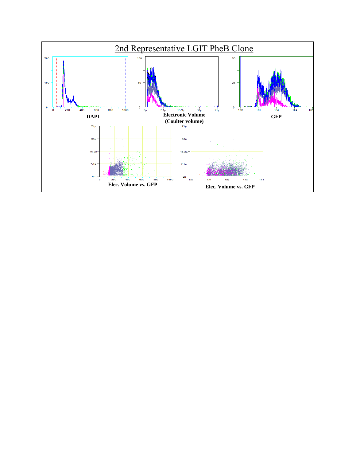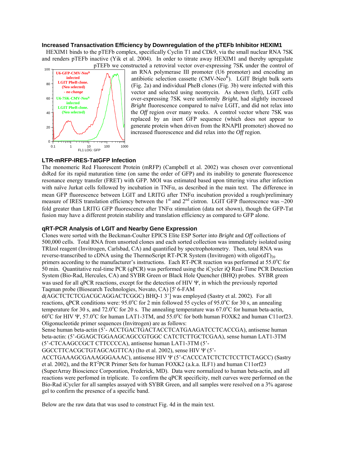#### **Increased Transactivation Efficiency by Downregulation of the pTEFb Inhibitor HEXIM1**

HEXIM1 binds to the pTEFb complex, specifically Cyclin T1 and CDk9, via the small nuclear RNA 7SK and renders pTEFb inactive (Yik et al. 2004). In order to titrate away HEXIM1 and thereby upregulate pTEFb we constructed a retroviral vector over-expressing 7SK under the control of



an RNA polymerase III promoter (U6 promoter) and encoding an antibiotic selection cassette  $(CMV-Neo<sup>R</sup>)$ . LGIT Bright bulk sorts (Fig. 2a) and individual PheB clones (Fig. 3b) were infected with this vector and selected using neomycin. As shown (left), LGIT cells over-expressing 7SK were uniformly *Bright*, had slightly increased *Bright* fluorescence compared to naïve LGIT, and did not relax into the *Off* region over many weeks. A control vector where 7SK was replaced by an inert GFP sequence (which does not appear to generate protein when driven from the RNAPII promoter) showed no increased fluorescence and did relax into the *Off* region.

## **LTR-mRFP-IRES-TatGFP Infection**

The monomeric Red Fluorescent Protein (mRFP) (Campbell et al. 2002) was chosen over conventional dsRed for its rapid maturation time (on same the order of GFP) and its inability to generate fluorescence resonance energy transfer (FRET) with GFP. MOI was estimated based upon tittering virus after infection with naïve Jurkat cells followed by incubation in TNFα, as described in the main text. The difference in mean GFP fluorescence between LGIT and LRITG after  $TNF\alpha$  incubation provided a rough/preliminary measure of IRES translation efficiency between the 1<sup>st</sup> and 2<sup>nd</sup> cistron. LGIT GFP fluorescence was  $\sim$ 200 fold greater than LRITG GFP fluorescence after  $TNF\alpha$  stimulation (data not shown), though the GFP-Tat fusion may have a different protein stability and translation efficiency as compared to GFP alone.

### **qRT-PCR Analysis of LGIT and Nearby Gene Expression**

Clones were sorted with the Beckman-Coulter EPICS Elite ESP Sorter into *Bright* and *Off* collections of 500,000 cells. Total RNA from unsorted clones and each sorted collection was immediately isolated using TRIzol reagent (Invitrogen, Carlsbad, CA) and quantified by spectrophotometry. Then, total RNA was reverse-transcribed to cDNA using the ThermoScript RT-PCR System (Invitrogen) with  $oligo(dT)_{20}$ primers according to the manufacturer's instructions. Each RT-PCR reaction was performed at 55.0°C for 50 min. Quantitative real-time PCR (qPCR) was performed using the iCycler iQ Real-Time PCR Detection System (Bio-Rad, Hercules, CA) and SYBR Green or Black Hole Quencher (BHQ) probes. SYBR green was used for all qPCR reactions, except for the detection of HIV Ψ, in which the previously reported Taqman probe (Biosearch Technologies, Novato, CA) [5' 6-FAM

d(AGCTCTCTCGACGCAGGACTCGGC) BHQ-1 3'] was employed (Sastry et al. 2002). For all reactions, qPCR conditions were: 95.0°C for 2 min followed 55 cycles of 95.0°C for 30 s, an annealing temperature for 30 s, and 72.0°C for 20 s. The annealing temperature was  $67.0$ °C for human beta-actin, 60°C for HIV Ψ, 57.0°C for human LAT1-3TM, and 55.0°C for both human FOXK2 and human C11orf23. Oligonucleotide primer sequences (Invitrogen) are as follows:

Sense human beta-actin (5'- ACCTGACTGACTACCTCATGAAGATCCTCACCGA), antisense human beta-actin: (5'-GGAGCTGGAAGCAGCCGTGGC CATCTCTTGCTCGAA), sense human LAT1-3TM (5'-CTCAAGCCGCT CTTCCCCA), antisense human LAT1-3TM (5'-

GGCCTTCACGCTGTAGCAGTTCA) (Ito et al. 2002), sense HIV Ψ (5'-

ACCTGAAAGCGAAAGGGAAAC), antisense HIV Ψ (5'-CACCCATCTCTCTCCTTCTAGCC) (Sastry et al. 2002), and the RT<sup>2</sup>PCR Primer Sets for human FOXK2 (a.k.a. ILF1) and human C11orf23 (SuperArray Bioscience Corporation, Frederick, MD). Data were normalized to human beta-actin, and all reactions were perfomed in triplicate. To confirm the qPCR specificity, melt curves were performed on the Bio-Rad iCycler for all samples assayed with SYBR Green, and all samples were resolved on a 3% agarose gel to confirm the presence of a specific band.

Below are the raw data that was used to construct Fig. 4d in the main text.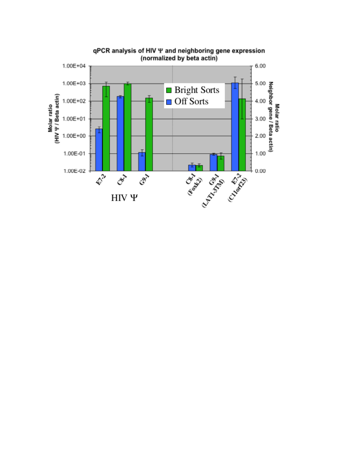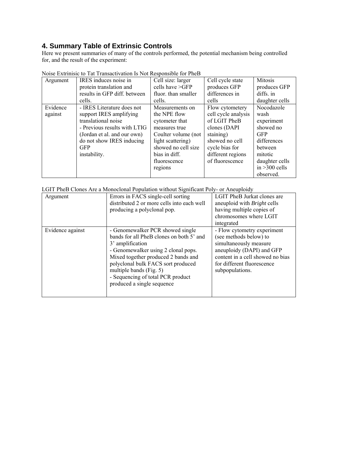# **4. Summary Table of Extrinsic Controls**

Here we present summaries of many of the controls performed, the potential mechanism being controlled for, and the result of the experiment:

| Argument | IRES induces noise in        | Cell size: larger   | Cell cycle state    | Mitosis         |
|----------|------------------------------|---------------------|---------------------|-----------------|
|          | protein translation and      | cells have $>GFP$   | produces GFP        | produces GFP    |
|          | results in GFP diff. between | fluor, than smaller | differences in      | diffs. in       |
|          | cells.                       | cells.              | cells               | daughter cells  |
| Evidence | - IRES Literature does not   | Measurements on     | Flow cytometery     | Nocodazole      |
| against  | support IRES amplifying      | the NPE flow        | cell cycle analysis | wash            |
|          | translational noise          | cytometer that      | of LGIT PheB        | experiment      |
|          | - Previous results with LTIG | measures true       | clones (DAPI        | showed no       |
|          | (Jordan et al. and our own)  | Coulter volume (not | staining)           | <b>GFP</b>      |
|          | do not show IRES inducing    | light scattering)   | showed no cell      | differences     |
|          | <b>GFP</b>                   | showed no cell size | cycle bias for      | between         |
|          | instability.                 | bias in diff.       | different regions   | mitotic         |
|          |                              | fluorescence        | of fluorescence     | daughter cells  |
|          |                              | regions             |                     | in $>300$ cells |
|          |                              |                     |                     | observed.       |

Noise Extrinisic to Tat Transactivation Is Not Responsible for PheB

LGIT PheB Clones Are a Monoclonal Population without Significant Poly- or Aneuploidy

| Argument         | Errors in FACS single-cell sorting<br>distributed 2 or more cells into each well<br>producing a polyclonal pop.                                                                                                                                                                                                                | LGIT PheB Jurkat clones are<br>aneuploid with <i>Bright</i> cells<br>having multiple copies of<br>chromosomes where LGIT<br>integrated                                                            |
|------------------|--------------------------------------------------------------------------------------------------------------------------------------------------------------------------------------------------------------------------------------------------------------------------------------------------------------------------------|---------------------------------------------------------------------------------------------------------------------------------------------------------------------------------------------------|
| Evidence against | - Genomewalker PCR showed single<br>bands for all PheB clones on both 5' and<br>3 <sup>'</sup> amplification<br>- Genomewalker using 2 clonal pops.<br>Mixed together produced 2 bands and<br>polyclonal bulk FACS sort produced<br>multiple bands (Fig. 5)<br>- Sequencing of total PCR product<br>produced a single sequence | - Flow cytometry experiment<br>(see methods below) to<br>simultaneously measure<br>aneuploidy (DAPI) and GFP<br>content in a cell showed no bias<br>for different fluorescence<br>subpopulations. |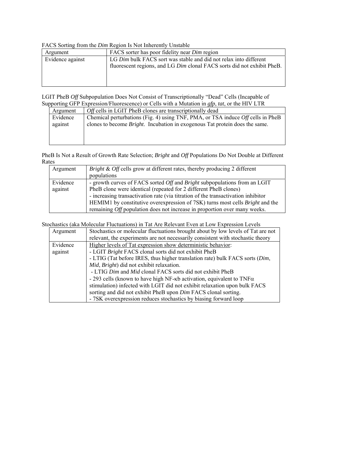### FACS Sorting from the *Dim* Region Is Not Inherently Unstable

| Argument         | FACS sorter has poor fidelity near <i>Dim</i> region                    |
|------------------|-------------------------------------------------------------------------|
| Evidence against | LG Dim bulk FACS sort was stable and did not relax into different       |
|                  | fluorescent regions, and LG Dim clonal FACS sorts did not exhibit PheB. |
|                  |                                                                         |
|                  |                                                                         |
|                  |                                                                         |

LGIT PheB *Off* Subpopulation Does Not Consist of Transcriptionally "Dead" Cells (Incapable of Supporting GFP Expression/Fluorescence) or Cells with a Mutation in *gfp*, *tat*, or the HIV LTR

| Argument | <i>Off</i> cells in LGIT PheB clones are transcriptionally dead                        |
|----------|----------------------------------------------------------------------------------------|
| Evidence | Chemical perturbations (Fig. 4) using TNF, PMA, or TSA induce <i>Off</i> cells in PheB |
| against  | clones to become <i>Bright</i> . Incubation in exogenous Tat protein does the same.    |
|          |                                                                                        |
|          |                                                                                        |
|          |                                                                                        |

PheB Is Not a Result of Growth Rate Selection; *Bright* and *Off* Populations Do Not Double at Different Rates

| Argument | <i>Bright &amp; Off</i> cells grow at different rates, thereby producing 2 different    |
|----------|-----------------------------------------------------------------------------------------|
|          | populations                                                                             |
| Evidence | - growth curves of FACS sorted <i>Off</i> and <i>Bright</i> subpopulations from an LGIT |
| against  | PheB clone were identical (repeated for 2 different PheB clones)                        |
|          | - increasing transactivation rate (via titration of the transactivation inhibitor       |
|          | HEMIM1 by constitutive overexpression of 7SK) turns most cells <i>Bright</i> and the    |
|          | remaining <i>Off</i> population does not increase in proportion over many weeks.        |

Stochastics (aka Molecular Fluctuations) in Tat Are Relevant Even at Low Expression Levels

| Argument | Stochastics or molecular fluctuations brought about by low levels of Tat are not      |
|----------|---------------------------------------------------------------------------------------|
|          | relevant, the experiments are not necessarily consistent with stochastic theory       |
| Evidence | Higher levels of Tat expression show deterministic behavior:                          |
| against  | - LGIT Bright FACS clonal sorts did not exhibit PheB                                  |
|          | - LTIG (Tat before IRES, thus higher translation rate) bulk FACS sorts (Dim,          |
|          | Mid, Bright) did not exhibit relaxation.                                              |
|          | - LTIG Dim and Mid clonal FACS sorts did not exhibit PheB                             |
|          | - 293 cells (known to have high NF- $\kappa$ b activation, equivalent to TNF $\alpha$ |
|          | stimulation) infected with LGIT did not exhibit relaxation upon bulk FACS             |
|          | sorting and did not exhibit PheB upon Dim FACS clonal sorting.                        |
|          | - 7SK overexpression reduces stochastics by biasing forward loop                      |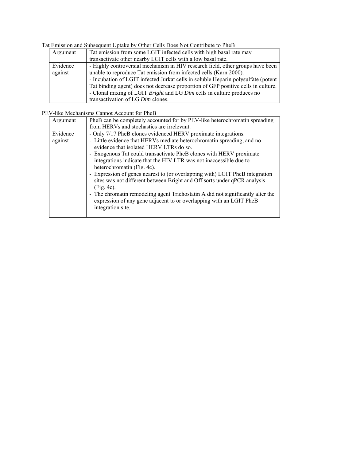Tat Emission and Subsequent Uptake by Other Cells Does Not Contribute to PheB

| Argument | Tat emission from some LGIT infected cells with high basal rate may               |
|----------|-----------------------------------------------------------------------------------|
|          | transactivate other nearby LGIT cells with a low basal rate.                      |
| Evidence | - Highly controversial mechanism in HIV research field, other groups have been    |
| against  | unable to reproduce Tat emission from infected cells (Karn 2000).                 |
|          | - Incubation of LGIT infected Jurkat cells in soluble Heparin polysulfate (potent |
|          | Tat binding agent) does not decrease proportion of GFP positive cells in culture. |
|          | - Clonal mixing of LGIT Bright and LG Dim cells in culture produces no            |
|          | transactivation of LG Dim clones.                                                 |

## PEV-like Mechanisms Cannot Account for PheB

| Argument            | PheB can be completely accounted for by PEV-like heterochromatin spreading                                                                                                                                                                                                                                                                                                                                                                     |
|---------------------|------------------------------------------------------------------------------------------------------------------------------------------------------------------------------------------------------------------------------------------------------------------------------------------------------------------------------------------------------------------------------------------------------------------------------------------------|
|                     | from HERVs and stochastics are irrelevant.                                                                                                                                                                                                                                                                                                                                                                                                     |
| Evidence<br>against | - Only 7/17 PheB clones evidenced HERV proximate integrations.<br>- Little evidence that HERVs mediate heterochromatin spreading, and no<br>evidence that isolated HERV LTRs do so.<br>- Exogenous Tat could transactivate PheB clones with HERV proximate<br>integrations indicate that the HIV LTR was not inaccessible due to<br>heterochromatin (Fig. 4c).<br>- Expression of genes nearest to (or overlapping with) LGIT PheB integration |
|                     | sites was not different between Bright and Off sorts under qPCR analysis<br>$(Fig. 4c)$ .<br>- The chromatin remodeling agent Trichostatin A did not significantly alter the<br>expression of any gene adjacent to or overlapping with an LGIT PheB<br>integration site.                                                                                                                                                                       |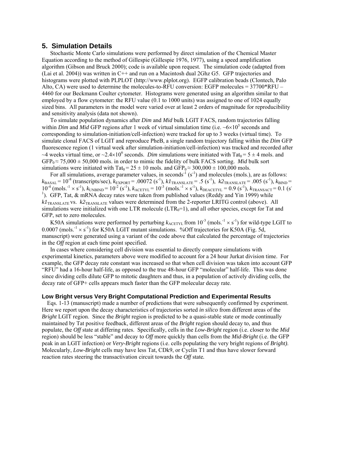### **5. Simulation Details**

Stochastic Monte Carlo simulations were performed by direct simulation of the Chemical Master Equation according to the method of Gillespie (Gillespie 1976, 1977), using a speed amplification algorithm (Gibson and Bruck 2000); code is available upon request. The simulation code (adapted from (Lai et al. 2004)) was written in C++ and run on a Macintosh dual 2Ghz G5. GFP trajectories and histograms were plotted with PLPLOT (http://www.plplot.org). EGFP calibration beads (Clontech, Palo Alto, CA) were used to determine the molecules-to-RFU conversion: EGFP molecules = 37700\*RFU – 4460 for our Beckmann Coulter cytometer. Histograms were generated using an algorithm similar to that employed by a flow cytometer: the RFU value (0.1 to 1000 units) was assigned to one of 1024 equally sized bins.All parameters in the model were varied over at least 2 orders of magnitude for reproducibility and sensitivity analysis (data not shown).

To simulate population dynamics after *Dim* and *Mid* bulk LGIT FACS, random trajectories falling within *Dim* and *Mid* GFP regions after 1 week of virtual simulation time (i.e.  $\sim 6 \times 10^5$  seconds and corresponding to simulation-initiation/cell-infection) were tracked for up to 3 weeks (virtual time). To simulate clonal FACS of LGIT and reproduce PheB, a single random trajectory falling within the *Dim* GFP fluorescence region (1 virtual week after simulation-initiation/cell-infection) was tracked and recorded after ~4 weeks virtual time, or ~2.4×10<sup>6</sup> seconds. *Dim* simulations were initiated with Tat<sub>0</sub> = 5 ± 4 mols. and  $GFP_0 \approx 75,000 \pm 50,000$  mols. in order to mimic the fidelity of bulk FACS sorting. *Mid* bulk sort simulations were initiated with Tat<sub>0</sub> =  $25 \pm 10$  mols. and GFP<sub>0</sub>  $\approx 300,000 \pm 100,000$  mols.

For all simulations, average parameter values, in seconds<sup>-1</sup> (s<sup>-1</sup>) and molecules (mols.), are as follows:  $k_{\text{BASAL}} = 10^{-8}$  (transcripts/sec),  $k_{\text{EXPORT}} = .00072$  (s<sup>-1</sup>),  $k_1$ <sub>TRANSLATE</sub> = .5 (s<sup>-1</sup>),  $k_2$ <sub>TRANSLATE</sub> = .005 (s<sup>-1</sup>),  $k_{\text{BIND}}$  =  $10^{-4}$  (mols.<sup>-1</sup> × s<sup>-1</sup>),  $k_{\text{UNBIND}} = 10^{-2}$  (s<sup>-1</sup>),  $k_{\text{ACETYL}} = 10^{-3}$  (mols.<sup>-1</sup> × s<sup>-1</sup>),  $k_{\text{DEACETYL}} = 0.9$  (s<sup>-1</sup>),  $k_{\text{TRANSACT}} = 0.1$  (s<sup>-1</sup>) <sup>1</sup>). GFP, Tat,  $\&$  mRNA decay rates were taken from published values (Reddy and Yin 1999) while *k1*TRANSLATE vs. *k2*TRANSLATE values were determined from the 2-reporter LRITG control (above). All simulations were initialized with one LTR molecule  $(LTR<sub>0</sub>=1)$ , and all other species, except for Tat and GFP, set to zero molecules.

K50A simulations were performed by perturbing  $k_{\text{ACETYL}}$  from  $10^{-3}$  (mols.<sup>-1</sup> × s<sup>-1</sup>) for wild-type LGIT to 0.0007 (mols.<sup>-1</sup>  $\times$  s<sup>-1</sup>) for K50A LGIT mutant simulations. %Off trajectories for K50A (Fig. 5d, manuscript) were generated using a variant of the code above that calculated the percentage of trajectories in the *Off* region at each time point specified.

In cases where considering cell division was essential to directly compare simulations with experimental kinetics, parameters above were modified to account for a 24 hour Jurkat division time. For example, the GFP decay rate constant was increased so that when cell division was taken into account GFP "RFU" had a 16-hour half-life, as opposed to the true 48-hour GFP "molecular" half-life. This was done since dividing cells dilute GFP to mitotic daughters and thus, in a population of actively dividing cells, the decay rate of GFP+ cells appears much faster than the GFP molecular decay rate.

#### **Low Bright versus Very Bright Computational Prediction and Experimental Results**

Eqs. 1-13 (manuscript) made a number of predictions that were subsequently confirmed by experiment. Here we report upon the decay characteristics of trajectories sorted *in silico* from different areas of the *Bright* LGIT region. Since the *Bright* region is predicted to be a quasi-stable state or mode continually maintained by Tat positive feedback, different areas of the *Bright* region should decay to, and thus populate, the *Off* state at differing rates. Specifically, cells in the *Low*-*Bright* region (i.e. closer to the *Mid* region) should be less "stable" and decay to *Off* more quickly than cells from the *Mid-Bright* (i.e. the GFP peak in an LGIT infection) or *Very-Bright* regions (i.e. cells populating the very bright regions of *Bright)*. Molecularly, *Low*-*Bright* cells may have less Tat, CDk9, or Cyclin T1 and thus have slower forward reaction rates steering the transactivation circuit towards the *Off* state*.*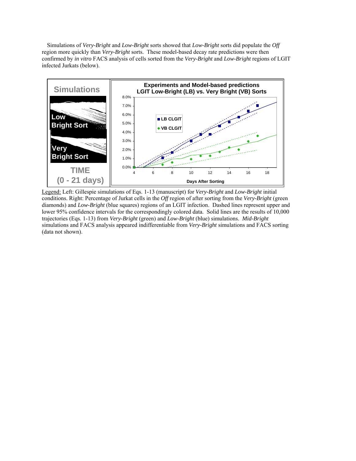Simulations of *Very-Bright* and *Low-Bright* sorts showed that *Low-Bright* sorts did populate the *Off* region more quickly than *Very-Bright* sorts. These model-based decay rate predictions were then confirmed by *in vitro* FACS analysis of cells sorted from the *Very-Bright* and *Low-Bright* regions of LGIT infected Jurkats (below).



Legend: Left: Gillespie simulations of Eqs. 1-13 (manuscript) for *Very-Bright* and *Low-Bright* initial conditions. Right: Percentage of Jurkat cells in the *Off* region of after sorting from the *Very-Bright* (green diamonds) and *Low-Bright* (blue squares) regions of an LGIT infection. Dashed lines represent upper and lower 95% confidence intervals for the correspondingly colored data. Solid lines are the results of 10,000 trajectories (Eqs. 1-13) from *Very-Bright* (green) and *Low-Bright* (blue) simulations. *Mid-Bright* simulations and FACS analysis appeared indifferentiable from *Very-Bright* simulations and FACS sorting (data not shown).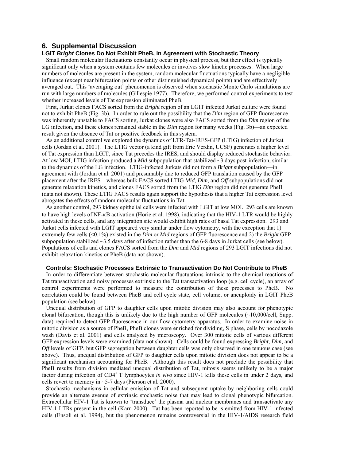## **6. Supplemental Discussion**

## **LGIT** *Bright* **Clones Do Not Exhibit PheB, in Agreement with Stochastic Theory**

Small random molecular fluctuations constantly occur in physical process, but their effect is typically significant only when a system contains few molecules or involves slow kinetic processes. When large numbers of molecules are present in the system, random molecular fluctuations typically have a negligible influence (except near bifurcation points or other distinguished dynamical points) and are effectively averaged out. This 'averaging out' phenomenon is observed when stochastic Monte Carlo simulations are run with large numbers of molecules (Gillespie 1977). Therefore, we performed control experiments to test whether increased levels of Tat expression eliminated PheB.

First, Jurkat clones FACS sorted from the *Bright* region of an LGIT infected Jurkat culture were found not to exhibit PheB (Fig. 3b). In order to rule out the possibility that the *Dim* region of GFP fluorescence was inherently unstable to FACS sorting, Jurkat clones were also FACS sorted from the *Dim* region of the LG infection, and these clones remained stable in the *Dim* region for many weeks (Fig. 3b)—an expected result given the absence of Tat or positive feedback in this system.

As an additional control we explored the dynamics of LTR-Tat-IRES-GFP (LTIG) infection of Jurkat cells (Jordan et al. 2001). The LTIG vector (a kind gift from Eric Verdin, UCSF) generates a higher level of Tat expression than LGIT, since Tat precedes the IRES, and should display reduced stochastic behavior. At low MOI, LTIG infection produced a *Mid* subpopulation that stabilized ~3 days post-infection, similar to the dynamics of the LG infection. LTIG-infected Jurkats did not form a *Bright* subpopulation—in agreement with (Jordan et al. 2001) and presumably due to reduced GFP translation caused by the GFP placement after the IRES—whereas bulk FACS sorted LTIG *Mid*, *Dim*, and *Off* subpopulations did not generate relaxation kinetics, and clones FACS sorted from the LTIG *Dim* region did not generate PheB (data not shown). These LTIG FACS results again support the hypothesis that a higher Tat expression level abrogates the effects of random molecular fluctuations in Tat.

As another control, 293 kidney epithelial cells were infected with LGIT at low MOI. 293 cells are known to have high levels of NF-κB activation (Horie et al. 1998), indicating that the HIV-1 LTR would be highly activated in these cells, and any integration site would exhibit high rates of basal Tat expression. 293 and Jurkat cells infected with LGIT appeared very similar under flow cytometry, with the exception that 1) extremely few cells (<0.1%) existed in the *Dim* or *Mid* regions of GFP fluorescence and 2) the *Bright* GFP subpopulation stabilized ~3.5 days after of infection rather than the 6-8 days in Jurkat cells (see below). Populations of cells and clones FACS sorted from the *Dim* and *Mid* regions of 293 LGIT infections did not exhibit relaxation kinetics or PheB (data not shown).

#### **Controls: Stochastic Processes Extrinsic to Transactivation Do Not Contribute to PheB**

In order to differentiate between stochastic molecular fluctuations intrinsic to the chemical reactions of Tat transactivation and noisy processes extrinsic to the Tat transactivation loop (e.g. cell cycle), an array of control experiments were performed to measure the contribution of these processes to PheB. No correlation could be found between PheB and cell cycle state, cell volume, or aneuploidy in LGIT PheB population (see below).

Unequal distribution of GFP to daughter cells upon mitotic division may also account for phenotypic clonal bifurcation, though this is unlikely due to the high number of GFP molecules  $\sim 10,000/\text{cell}$ , Supp. data) required to detect GFP fluorescence in our flow cytometry apparatus. In order to examine noise in mitotic division as a source of PheB, PheB clones were enriched for dividing, S phase, cells by nocodazole wash (Davis et al. 2001) and cells analyzed by microscopy. Over 300 mitotic cells of various different GFP expression levels were examined (data not shown). Cells could be found expressing *Bright*, *Dim*, and *Off* levels of GFP, but GFP segregation between daughter cells was only observed in one tenuous case (see above). Thus, unequal distribution of GFP to daughter cells upon mitotic division does not appear to be a significant mechanism accounting for PheB. Although this result does not preclude the possibility that PheB results from division mediated unequal distribution of Tat, mitosis seems unlikely to be a major factor during infection of CD4<sup>+</sup> T lymphocytes *in vivo* since HIV-1 kills these cells in under 2 days, and cells revert to memory in  $\sim$  5-7 days (Pierson et al. 2000).

Stochastic mechanisms in cellular emission of Tat and subsequent uptake by neighboring cells could provide an alternate avenue of extrinsic stochastic noise that may lead to clonal phenotypic bifurcation. Extracellular HIV-1 Tat is known to 'transduce' the plasma and nuclear membranes and transactivate any HIV-1 LTRs present in the cell (Karn 2000). Tat has been reported to be is emitted from HIV-1 infected cells (Ensoli et al. 1994), but the phenomenon remains controversial in the HIV-1/AIDS research field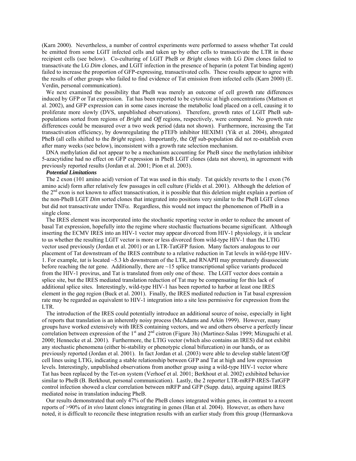(Karn 2000). Nevertheless, a number of control experiments were performed to assess whether Tat could be emitted from some LGIT infected cells and taken up by other cells to transactivate the LTR in those recipient cells (see below). Co-culturing of LGIT PheB or *Bright* clones with LG *Dim* clones failed to transactivate the LG *Dim* clones, and LGIT infection in the presence of heparin (a potent Tat binding agent) failed to increase the proportion of GFP-expressing, transactivated cells. These results appear to agree with the results of other groups who failed to find evidence of Tat emission from infected cells (Karn 2000) (E. Verdin, personal communication).

We next examined the possibility that PheB was merely an outcome of cell growth rate differences induced by GFP or Tat expression. Tat has been reported to be cytotoxic at high concentrations (Mattson et al. 2002), and GFP expression can in some cases increase the metabolic load placed on a cell, causing it to proliferate more slowly (DVS, unpublished observations). Therefore, growth rates of LGIT PheB subpopulations sorted from regions of *Bright* and *Off* regions, respectively, were compared. No growth rate differences could be measured over a two week period (data not shown). Furthermore, increasing the Tat transactivation efficiency, by downregulating the pTEFb inhibitor HEXIM1 (Yik et al. 2004), abrogated PheB (all cells shifted to the *Bright* region). Importantly, the *Off* sub-population did not re-establish even after many weeks (see below), inconsistent with a growth rate selection mechanism.

DNA methylation did not appear to be a mechanism accounting for PheB since the methylation inhibitor 5-azacytidine had no effect on GFP expression in PheB LGIT clones (data not shown), in agreement with previously reported results (Jordan et al. 2001; Pion et al. 2003).

#### *Potential Limitations*

The 2 exon (101 amino acid) version of Tat was used in this study. Tat quickly reverts to the 1 exon (76 amino acid) form after relatively few passages in cell culture (Fields et al. 2001). Although the deletion of the 2<sup>nd</sup> exon is not known to affect transactivation, it is possible that this deletion might explain a portion of the non-PheB LGIT *Dim* sorted clones that integrated into positions very similar to the PheB LGIT clones but did not transactivate under TNF $\alpha$ . Regardless, this would not impact the phenomenon of PheB in a single clone.

The IRES element was incorporated into the stochastic reporting vector in order to reduce the amount of basal Tat expression, hopefully into the regime where stochastic fluctuations became significant. Although inserting the ECMV IRES into an HIV-1 vector may appear divorced from HIV-1 physiology, it is unclear to us whether the resulting LGIT vector is more or less divorced from wild-type HIV-1 than the LTIG vector used previously (Jordan et al. 2001) or an LTR-TatGFP fusion. Many factors analogous to our placement of Tat downstream of the IRES contribute to a relative reduction in Tat levels in wild-type HIV-1. For example, *tat* is located ~5.3 kb downstream of the LTR, and RNAPII may prematurely disassociate before reaching the *tat* gene. Additionally, there are ~15 splice transcriptional splice variants produced from the HIV-1 provirus, and Tat is translated from only one of these. The LGIT vector does contain a splice site, but the IRES mediated translation reduction of Tat may be compensating for this lack of additional splice sites. Interestingly, wild-type HIV-1 has been reported to harbor at least one IRES element in the *gag* region (Buck et al. 2001). Finally, the IRES mediated reduction in Tat basal expression rate may be regarded as equivalent to HIV-1 integration into a site less permissive for expression from the LTR.

The introduction of the IRES could potentially introduce an additional source of noise, especially in light of reports that translation is an inherently noisy process (McAdams and Arkin 1999). However, many groups have worked extensively with IRES containing vectors, and we and others observe a perfectly linear correlation between expression of the  $1<sup>st</sup>$  and  $2<sup>nd</sup>$  cistron (Figure 3h) (Martinez-Salas 1999; Mizuguchi et al. 2000; Hennecke et al. 2001). Furthermore, the LTIG vector (which also contains an IRES) did not exhibit any stochastic phenomena (either bi-stability or phenotypic clonal bifurcation) in our hands, or as previously reported (Jordan et al. 2001). In fact Jordan et al. (2003) were able to develop stable latent/*Off* cell lines using LTIG, indicating a stable relationship between GFP and Tat at high and low expression levels. Interestingly, unpublished observations from another group using a wild-type HIV-1 vector where Tat has been replaced by the Tet-on system (Verhoef et al. 2001; Berkhout et al. 2002) exhibited behavior similar to PheB (B. Berkhout, personal communication). Lastly, the 2 reporter LTR-mRFP-IRES-TatGFP control infection showed a clear correlation between mRFP and GFP (Supp. data), arguing against IRES mediated noise in translation inducing PheB.

Our results demonstrated that only 47% of the PheB clones integrated within genes, in contrast to a recent reports of >90% of *in vivo* latent clones integrating in genes (Han et al. 2004). However, as others have noted, it is difficult to reconcile these integration results with an earlier study from this group (Hermankova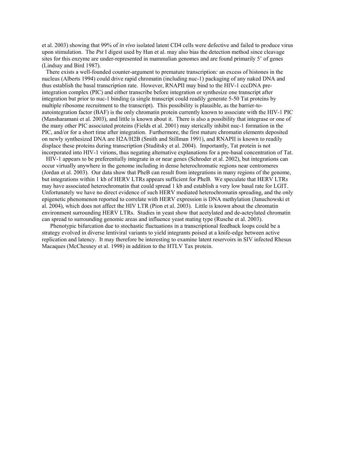et al. 2003) showing that 99% of *in vivo* isolated latent CD4 cells were defective and failed to produce virus upon stimulation. The *Pst* I digest used by Han et al. may also bias the detection method since cleavage sites for this enzyme are under-represented in mammalian genomes and are found primarily 5' of genes (Lindsay and Bird 1987).

There exists a well-founded counter-argument to premature transcription*:* an excess of histones in the nucleus (Alberts 1994) could drive rapid chromatin (including nuc-1) packaging of any naked DNA and thus establish the basal transcription rate. However, RNAPII may bind to the HIV-1 cccDNA preintegration complex (PIC) and either transcribe before integration or synthesize one transcript after integration but prior to nuc-1 binding (a single transcript could readily generate 5-50 Tat proteins by multiple ribosome recruitment to the transcript). This possibility is plausible, as the barrier-toautointegration factor (BAF) is the only chromatin protein currently known to associate with the HIV-1 PIC (Mansharamani et al. 2003), and little is known about it. There is also a possibility that integrase or one of the many other PIC associated proteins (Fields et al. 2001) may sterically inhibit nuc-1 formation in the PIC, and/or for a short time after integration. Furthermore, the first mature chromatin elements deposited on newly synthesized DNA are H2A/H2B (Smith and Stillman 1991), and RNAPII is known to readily displace these proteins during transcription (Studitsky et al. 2004). Importantly, Tat protein is not incorporated into HIV-1 virions, thus negating alternative explanations for a pre-basal concentration of Tat.

HIV-1 appears to be preferentially integrate in or near genes (Schroder et al. 2002), but integrations can occur virtually anywhere in the genome including in dense heterochromatic regions near centromeres (Jordan et al. 2003). Our data show that PheB can result from integrations in many regions of the genome, but integrations within 1 kb of HERV LTRs appears sufficient for PheB. We speculate that HERV LTRs may have associated heterochromatin that could spread 1 kb and establish a very low basal rate for LGIT. Unfortunately we have no direct evidence of such HERV mediated heterochromatin spreading, and the only epigenetic phenomenon reported to correlate with HERV expression is DNA methylation (Januchowski et al. 2004), which does not affect the HIV LTR (Pion et al. 2003). Little is known about the chromatin environment surrounding HERV LTRs. Studies in yeast show that acetylated and de-acteylated chromatin can spread to surrounding genomic areas and influence yeast mating type (Rusche et al. 2003).

Phenotypic bifurcation due to stochastic fluctuations in a transcriptional feedback loops could be a strategy evolved in diverse lentiviral variants to yield integrants poised at a knife-edge between active replication and latency. It may therefore be interesting to examine latent reservoirs in SIV infected Rhesus Macaques (McChesney et al. 1998) in addition to the HTLV Tax protein.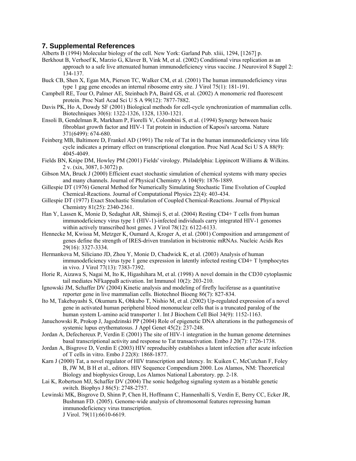## **7. Supplemental References**

Alberts B (1994) Molecular biology of the cell. New York: Garland Pub. xliii, 1294, [1267] p.

Berkhout B, Verhoef K, Marzio G, Klaver B, Vink M, et al. (2002) Conditional virus replication as an approach to a safe live attenuated human immunodeficiency virus vaccine. J Neurovirol 8 Suppl 2: 134-137.

- Buck CB, Shen X, Egan MA, Pierson TC, Walker CM, et al. (2001) The human immunodeficiency virus type 1 gag gene encodes an internal ribosome entry site. J Virol 75(1): 181-191.
- Campbell RE, Tour O, Palmer AE, Steinbach PA, Baird GS, et al. (2002) A monomeric red fluorescent protein. Proc Natl Acad Sci U S A 99(12): 7877-7882.
- Davis PK, Ho A, Dowdy SF (2001) Biological methods for cell-cycle synchronization of mammalian cells. Biotechniques 30(6): 1322-1326, 1328, 1330-1321.
- Ensoli B, Gendelman R, Markham P, Fiorelli V, Colombini S, et al. (1994) Synergy between basic fibroblast growth factor and HIV-1 Tat protein in induction of Kaposi's sarcoma. Nature 371(6499): 674-680.
- Feinberg MB, Baltimore D, Frankel AD (1991) The role of Tat in the human immunodeficiency virus life cycle indicates a primary effect on transcriptional elongation. Proc Natl Acad Sci U S A 88(9): 4045-4049.
- Fields BN, Knipe DM, Howley PM (2001) Fields' virology. Philadelphia: Lippincott Williams & Wilkins. 2 v. (xix, 3087, I-3072) p.
- Gibson MA, Bruck J (2000) Efficient exact stochastic simulation of chemical systems with many species and many channels. Journal of Physical Chemistry A 104(9): 1876-1889.
- Gillespie DT (1976) General Method for Numerically Simulating Stochastic Time Evolution of Coupled Chemical-Reactions. Journal of Computational Physics 22(4): 403-434.
- Gillespie DT (1977) Exact Stochastic Simulation of Coupled Chemical-Reactions. Journal of Physical Chemistry 81(25): 2340-2361.
- Han Y, Lassen K, Monie D, Sedaghat AR, Shimoji S, et al. (2004) Resting CD4+ T cells from human immunodeficiency virus type 1 (HIV-1)-infected individuals carry integrated HIV-1 genomes within actively transcribed host genes. J Virol 78(12): 6122-6133.
- Hennecke M, Kwissa M, Metzger K, Oumard A, Kroger A, et al. (2001) Composition and arrangement of genes define the strength of IRES-driven translation in bicistronic mRNAs. Nucleic Acids Res 29(16): 3327-3334.
- Hermankova M, Siliciano JD, Zhou Y, Monie D, Chadwick K, et al. (2003) Analysis of human immunodeficiency virus type 1 gene expression in latently infected resting CD4+ T lymphocytes in vivo. J Virol 77(13): 7383-7392.
- Horie R, Aizawa S, Nagai M, Ito K, Higashihara M, et al. (1998) A novel domain in the CD30 cytoplasmic tail mediates NFkappaB activation. Int Immunol 10(2): 203-210.
- Ignowski JM, Schaffer DV (2004) Kinetic analysis and modeling of firefly luciferase as a quantitative reporter gene in live mammalian cells. Biotechnol Bioeng 86(7): 827-834.
- Ito M, Takebayashi S, Okumura K, Ohkubo T, Nishio M, et al. (2002) Up-regulated expression of a novel gene in activated human peripheral blood mononuclear cells that is a truncated paralog of the human system L-amino acid transporter 1. Int J Biochem Cell Biol 34(9): 1152-1163.
- Januchowski R, Prokop J, Jagodzinski PP (2004) Role of epigenetic DNA alterations in the pathogenesis of systemic lupus erythematosus. J Appl Genet 45(2): 237-248.
- Jordan A, Defechereux P, Verdin E (2001) The site of HIV-1 integration in the human genome determines basal transcriptional activity and response to Tat transactivation. Embo J 20(7): 1726-1738.
- Jordan A, Bisgrove D, Verdin E (2003) HIV reproducibly establishes a latent infection after acute infection of T cells in vitro. Embo J 22(8): 1868-1877.
- Karn J (2000) Tat, a novel regulator of HIV transcription and latency. In: Kuiken C, McCutchan F, Foley B, JW M, B H et al., editors. HIV Sequence Compendium 2000. Los Alamos, NM: Theoretical Biology and biophysics Group, Los Alamos National Laboratory. pp. 2-18.
- Lai K, Robertson MJ, Schaffer DV (2004) The sonic hedgehog signaling system as a bistable genetic switch. Biophys J 86(5): 2748-2757.
- Lewinski MK, Bisgrove D, Shinn P, Chen H, Hoffmann C, Hannenhalli S, Verdin E, Berry CC, Ecker JR, Bushman FD. (2005). Genome-wide analysis of chromosomal features repressing human immunodeficiency virus transcription. J Virol. 79(11):6610-6619.